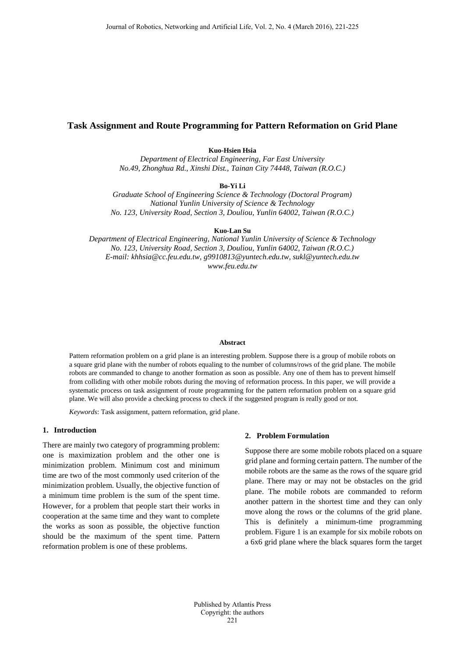# **Task Assignment and Route Programming for Pattern Reformation on Grid Plane**

**Kuo-Hsien Hsia**

*Department of Electrical Engineering, Far East University No.49, Zhonghua Rd., Xinshi Dist., Tainan City 74448, Taiwan (R.O.C.)*

**Bo-Yi Li**

*Graduate School of Engineering Science & Technology (Doctoral Program) National Yunlin University of Science & Technology No. 123, University Road, Section 3, Douliou, Yunlin 64002, Taiwan (R.O.C.)*

**Kuo-Lan Su**

*Department of Electrical Engineering, National Yunlin University of Science & Technology No. 123, University Road, Section 3, Douliou, Yunlin 64002, Taiwan (R.O.C.) E-mail: khhsia@cc.feu.edu.tw, g9910813@yuntech.edu.tw, sukl@yuntech.edu.tw www.feu.edu.tw*

### **Abstract**

Pattern reformation problem on a grid plane is an interesting problem. Suppose there is a group of mobile robots on a square grid plane with the number of robots equaling to the number of columns/rows of the grid plane. The mobile robots are commanded to change to another formation as soon as possible. Any one of them has to prevent himself from colliding with other mobile robots during the moving of reformation process. In this paper, we will provide a systematic process on task assignment of route programming for the pattern reformation problem on a square grid plane. We will also provide a checking process to check if the suggested program is really good or not.

*Keywords*: Task assignment, pattern reformation, grid plane.

#### **1. Introduction**

There are mainly two category of programming problem: one is maximization problem and the other one is minimization problem. Minimum cost and minimum time are two of the most commonly used criterion of the minimization problem. Usually, the objective function of a minimum time problem is the sum of the spent time. However, for a problem that people start their works in cooperation at the same time and they want to complete the works as soon as possible, the objective function should be the maximum of the spent time. Pattern reformation problem is one of these problems.

#### **2. Problem Formulation**

Suppose there are some mobile robots placed on a square grid plane and forming certain pattern. The number of the mobile robots are the same as the rows of the square grid plane. There may or may not be obstacles on the grid plane. The mobile robots are commanded to reform another pattern in the shortest time and they can only move along the rows or the columns of the grid plane. This is definitely a minimum-time programming problem. Figure 1 is an example for six mobile robots on a 6x6 grid plane where the black squares form the target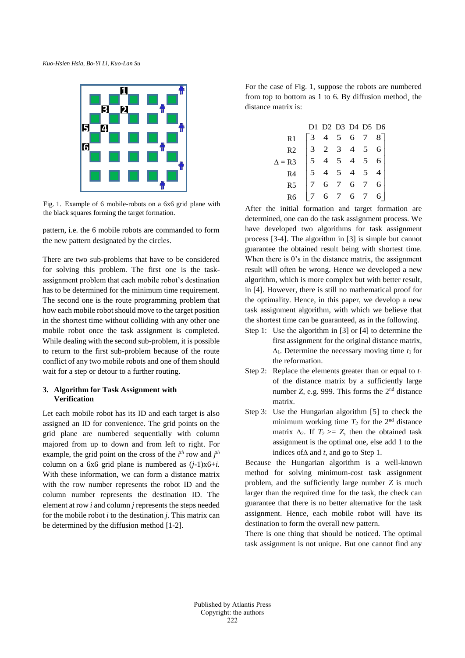

Fig. 1. Example of 6 mobile-robots on a 6x6 grid plane with the black squares forming the target formation.

pattern, i.e. the 6 mobile robots are commanded to form the new pattern designated by the circles.

There are two sub-problems that have to be considered for solving this problem. The first one is the taskassignment problem that each mobile robot's destination has to be determined for the minimum time requirement. The second one is the route programming problem that how each mobile robot should move to the target position in the shortest time without colliding with any other one mobile robot once the task assignment is completed. While dealing with the second sub-problem, it is possible to return to the first sub-problem because of the route conflict of any two mobile robots and one of them should wait for a step or detour to a further routing.

## **3. Algorithm for Task Assignment with Verification**

Let each mobile robot has its ID and each target is also assigned an ID for convenience. The grid points on the grid plane are numbered sequentially with column majored from up to down and from left to right. For example, the grid point on the cross of the  $i^{th}$  row and  $j^{th}$ column on a 6x6 grid plane is numbered as (*j*-1)x6+*i*. With these information, we can form a distance matrix with the row number represents the robot ID and the column number represents the destination ID. The element at row *i* and column *j* represents the steps needed for the mobile robot *i* to the destination *j*. This matrix can be determined by the diffusion method [1-2].

For the case of Fig. 1, suppose the robots are numbered from top to bottom as 1 to 6. By diffusion method¸ the distance matrix is:

|                | D1 D2 D3 D4 D5 D6                                                                      |  |                |
|----------------|----------------------------------------------------------------------------------------|--|----------------|
| R1             |                                                                                        |  |                |
| R <sub>2</sub> | 3 4 5 6 7 8<br>3 2 3 4 5 6<br>5 4 5 4 5 6<br>5 4 5 4 5 6<br>7 6 7 6 7 6<br>7 6 7 6 7 6 |  | 6 <sup>1</sup> |
| $=$ R3         |                                                                                        |  |                |
| R <sub>4</sub> |                                                                                        |  |                |
| R <sub>5</sub> |                                                                                        |  |                |
| R <sub>6</sub> |                                                                                        |  |                |

After the initial formation and target formation are determined, one can do the task assignment process. We have developed two algorithms for task assignment process [3-4]. The algorithm in [3] is simple but cannot guarantee the obtained result being with shortest time. When there is 0's in the distance matrix, the assignment result will often be wrong. Hence we developed a new algorithm, which is more complex but with better result, in [4]. However, there is still no mathematical proof for the optimality. Hence, in this paper, we develop a new task assignment algorithm, with which we believe that the shortest time can be guaranteed, as in the following.

- Step 1: Use the algorithm in [3] or [4] to determine the first assignment for the original distance matrix,  $\Delta_1$ . Determine the necessary moving time  $t_1$  for the reformation.
- Step 2: Replace the elements greater than or equal to  $t_1$ of the distance matrix by a sufficiently large number *Z*, e.g. 999. This forms the 2<sup>nd</sup> distance matrix.
- Step 3: Use the Hungarian algorithm [5] to check the minimum working time  $T_2$  for the  $2<sup>nd</sup>$  distance matrix  $\Delta_2$ . If  $T_2 \geq Z$ , then the obtained task assignment is the optimal one, else add 1 to the indices of  $\triangle$  and *t*, and go to Step 1.

Because the Hungarian algorithm is a well-known method for solving minimum-cost task assignment problem, and the sufficiently large number *Z* is much larger than the required time for the task, the check can guarantee that there is no better alternative for the task assignment. Hence, each mobile robot will have its destination to form the overall new pattern.

There is one thing that should be noticed. The optimal task assignment is not unique. But one cannot find any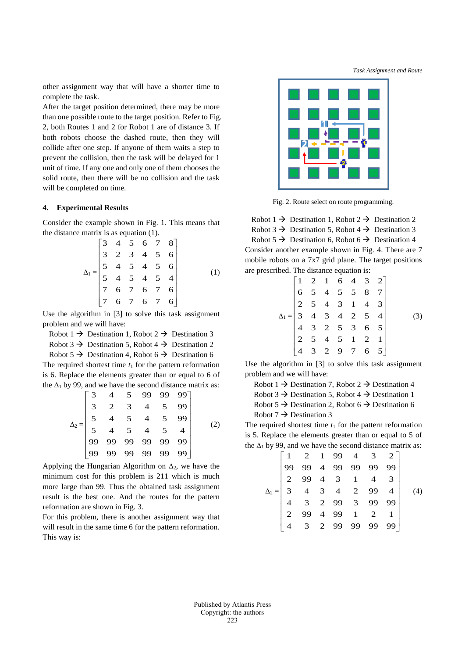*Task Assignment and Route*

other assignment way that will have a shorter time to complete the task.

After the target position determined, there may be more than one possible route to the target position. Refer to Fig. 2, both Routes 1 and 2 for Robot 1 are of distance 3. If both robots choose the dashed route, then they will collide after one step. If anyone of them waits a step to prevent the collision, then the task will be delayed for 1 unit of time. If any one and only one of them chooses the solid route, then there will be no collision and the task will be completed on time.

### **4. Experimental Results**

Consider the example shown in Fig. 1. This means that the distance matrix is as equation (1).

$$
\Delta_1 = \begin{bmatrix} 3 & 4 & 5 & 6 & 7 & 8 \\ 3 & 2 & 3 & 4 & 5 & 6 \\ 5 & 4 & 5 & 4 & 5 & 6 \\ 5 & 4 & 5 & 4 & 5 & 4 \\ 7 & 6 & 7 & 6 & 7 & 6 \\ 7 & 6 & 7 & 6 & 7 & 6 \end{bmatrix}
$$
(1)

Use the algorithm in [3] to solve this task assignment problem and we will have:

Robot 1  $\rightarrow$  Destination 1, Robot 2  $\rightarrow$  Destination 3

Robot 3  $\rightarrow$  Destination 5, Robot 4  $\rightarrow$  Destination 2

Robot 5  $\rightarrow$  Destination 4, Robot 6  $\rightarrow$  Destination 6 The required shortest time  $t_1$  for the pattern reformation is 6. Replace the elements greater than or equal to 6 of the  $\Delta_1$  by 99, and we have the second distance matrix as:

<sup>2</sup> = 99 99 99 99 99 99 99 99 99 99 99 99 5 4 5 4 5 4 5 4 5 4 5 99 3 2 3 4 5 99 3 4 5 99 99 99 (2)

Applying the Hungarian Algorithm on  $\Delta_2$ , we have the minimum cost for this problem is 211 which is much more large than 99. Thus the obtained task assignment result is the best one. And the routes for the pattern reformation are shown in Fig. 3.

For this problem, there is another assignment way that will result in the same time 6 for the pattern reformation. This way is:



Fig. 2. Route select on route programming.

Robot 1  $\rightarrow$  Destination 1, Robot 2  $\rightarrow$  Destination 2 Robot 3  $\rightarrow$  Destination 5, Robot 4  $\rightarrow$  Destination 3 Robot 5  $\rightarrow$  Destination 6, Robot 6  $\rightarrow$  Destination 4 Consider another example shown in Fig. 4. There are 7 mobile robots on a 7x7 grid plane. The target positions are prescribed. The distance equation is:

| $\Delta_1 =$ |                 |                 |  | $\begin{bmatrix} 1 & 2 & 1 & 6 & 4 & 3 & 2 \\ 6 & 5 & 4 & 5 & 5 & 8 & 7 \\ 2 & 5 & 4 & 3 & 1 & 4 & 3 \\ 3 & 4 & 3 & 4 & 2 & 5 & 4 \\ 4 & 3 & 2 & 5 & 3 & 6 & 5 \\ 2 & 5 & 4 & 5 & 1 & 2 & 1 \end{bmatrix}$ |   |  |
|--------------|-----------------|-----------------|--|------------------------------------------------------------------------------------------------------------------------------------------------------------------------------------------------------------|---|--|
|              |                 |                 |  |                                                                                                                                                                                                            |   |  |
|              | $5\overline{)}$ |                 |  |                                                                                                                                                                                                            |   |  |
|              |                 | $3 \t2 \t9 \t7$ |  | 6                                                                                                                                                                                                          | 5 |  |

Use the algorithm in [3] to solve this task assignment problem and we will have:



The required shortest time  $t_1$  for the pattern reformation is 5. Replace the elements greater than or equal to 5 of the  $\Delta_1$  by 99, and we have the second distance matrix as:

|  |  |             |    | 2 1 99 4 3 2 <sup>-</sup><br>99 4 99 99 99 99<br>99 4 3 1 4 3<br>4 3 4 2 99 4<br>3 2 99 3 99 99<br>99 4 99 1 2 1 |  |
|--|--|-------------|----|------------------------------------------------------------------------------------------------------------------|--|
|  |  |             |    |                                                                                                                  |  |
|  |  |             |    |                                                                                                                  |  |
|  |  |             |    |                                                                                                                  |  |
|  |  | $2\quad 99$ | 99 |                                                                                                                  |  |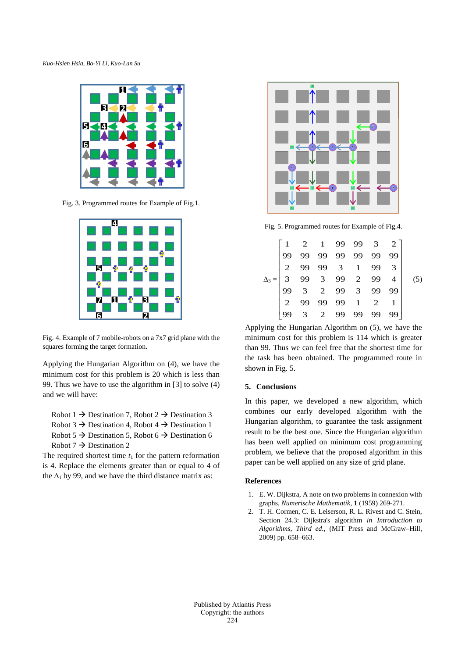

Fig. 3. Programmed routes for Example of Fig.1.



Fig. 4. Example of 7 mobile-robots on a 7x7 grid plane with the squares forming the target formation.

Applying the Hungarian Algorithm on (4), we have the minimum cost for this problem is 20 which is less than 99. Thus we have to use the algorithm in [3] to solve (4) and we will have:

- Robot 1  $\rightarrow$  Destination 7, Robot 2  $\rightarrow$  Destination 3
- Robot 3  $\rightarrow$  Destination 4, Robot 4  $\rightarrow$  Destination 1
- Robot 5  $\rightarrow$  Destination 5, Robot 6  $\rightarrow$  Destination 6

```
Robot 7 \rightarrow Destination 2
```
The required shortest time  $t_1$  for the pattern reformation is 4. Replace the elements greater than or equal to 4 of the  $\Delta_1$  by 99, and we have the third distance matrix as:



Fig. 5. Programmed routes for Example of Fig.4.

|              | 2  |                                                   |                 | 99           | -3            |    |  |
|--------------|----|---------------------------------------------------|-----------------|--------------|---------------|----|--|
|              | 99 |                                                   |                 |              | 99            |    |  |
|              | 99 |                                                   |                 |              | 99            |    |  |
| $\Delta_3 =$ | 99 | 1 99 99<br>99 99 99<br>99 3 1<br>3 99 2<br>2 99 3 |                 |              | 99            |    |  |
|              |    |                                                   |                 |              | 99            |    |  |
|              | 99 | 99                                                | 99              | $\mathbf{1}$ | $\mathcal{D}$ |    |  |
|              |    | 2                                                 | $\overline{99}$ | 99           | 99            | 99 |  |

Applying the Hungarian Algorithm on (5), we have the minimum cost for this problem is 114 which is greater than 99. Thus we can feel free that the shortest time for the task has been obtained. The programmed route in shown in Fig. 5.

### **5. Conclusions**

In this paper, we developed a new algorithm, which combines our early developed algorithm with the Hungarian algorithm, to guarantee the task assignment result to be the best one. Since the Hungarian algorithm has been well applied on minimum cost programming problem, we believe that the proposed algorithm in this paper can be well applied on any size of grid plane.

## **References**

- 1. E. W. Dijkstra, A note on two problems in connexion with graphs, *Numerische Mathematik*, **1** (1959) 269-271.
- 2. T. H. Cormen, C. E. Leiserson, R. L. Rivest and C. Stein, Section 24.3: Dijkstra's algorithm *in Introduction to Algorithms, Third ed.*, (MIT Press and McGraw–Hill, 2009) pp. 658–663.